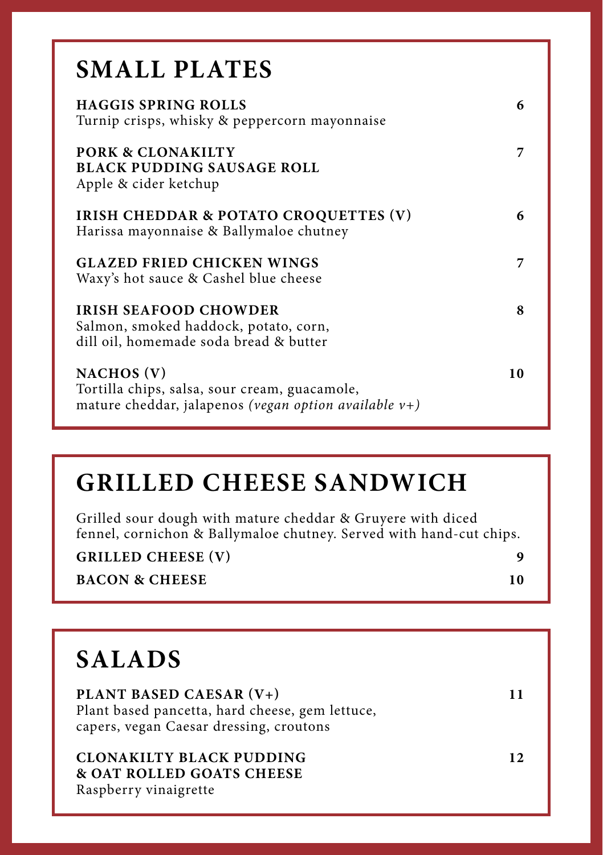| <b>SMALL PLATES</b>                                                                                                     |    |
|-------------------------------------------------------------------------------------------------------------------------|----|
| <b>HAGGIS SPRING ROLLS</b><br>Turnip crisps, whisky & peppercorn mayonnaise                                             | 6  |
| <b>PORK &amp; CLONAKILTY</b><br><b>BLACK PUDDING SAUSAGE ROLL</b><br>Apple & cider ketchup                              | 7  |
| <b>IRISH CHEDDAR &amp; POTATO CROQUETTES (V)</b><br>Harissa mayonnaise & Ballymaloe chutney                             | 6  |
| <b>GLAZED FRIED CHICKEN WINGS</b><br>Waxy's hot sauce & Cashel blue cheese                                              | 7  |
| <b>IRISH SEAFOOD CHOWDER</b><br>Salmon, smoked haddock, potato, corn,<br>dill oil, homemade soda bread & butter         | 8  |
| NACHOS (V)<br>Tortilla chips, salsa, sour cream, guacamole,<br>mature cheddar, jalapenos (vegan option available $v+$ ) | 10 |

## **GRILLED CHEESE SANDWICH**

Grilled sour dough with mature cheddar & Gruyere with diced fennel, cornichon & Ballymaloe chutney. Served with hand-cut chips.

| <b>GRILLED CHEESE (V)</b> |  |
|---------------------------|--|
|                           |  |

**BACON & CHEESE 10** 

## **SALADS PLANT BASED CAESAR (V+) 11** Plant based pancetta, hard cheese, gem lettuce, capers, vegan Caesar dressing, croutons **CLONAKILTY BLACK PUDDING 12 & OAT ROLLED GOATS CHEESE** Raspberry vinaigrette